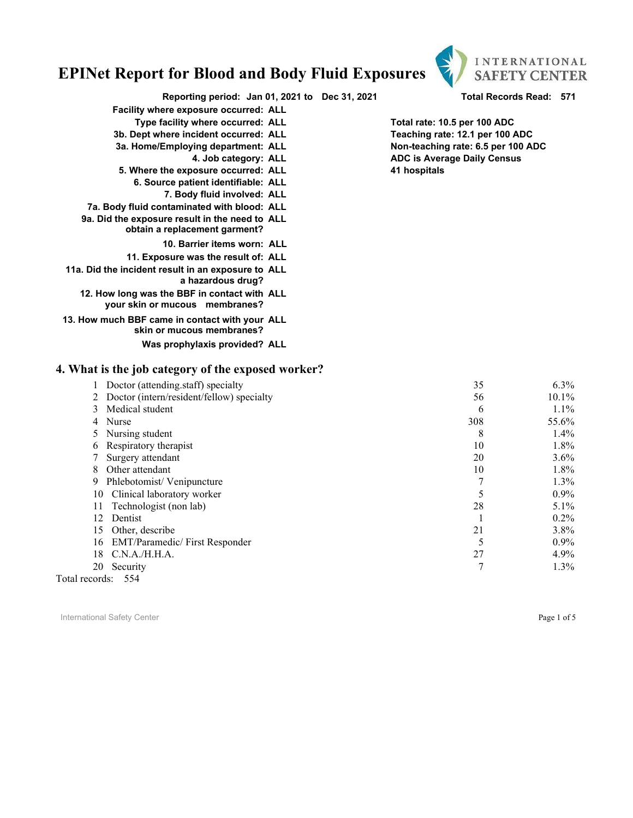

**Reporting period: Jan 01, 2021 to Dec 31, 2021 Total Records Read: 571**

- **Facility where exposure occurred: ALL**
	- **Type facility where occurred: ALL Total rate: 10.5 per 100 ADC**
- **3b. Dept where incident occurred: ALL Teaching rate: 12.1 per 100 ADC**
- **3a. Home/Employing department: ALL Non-teaching rate: 6.5 per 100 ADC**
	-
- **4. Job category: ALL ADC is Average Daily Census 5. Where the exposure occurred: ALL** 
	- **6. Source patient identifiable: ALL**
		- **7. Body fluid involved: ALL**
- **7a. Body fluid contaminated with blood: ALL**
- **9a. Did the exposure result in the need to ALL obtain a replacement garment?**
	- **10. Barrier items worn: ALL**
	- **11. Exposure was the result of: ALL**
- **11a. Did the incident result in an exposure to ALL a hazardous drug?**
	- **12. How long was the BBF in contact with ALL your skin or mucous membranes?**
- **13. How much BBF came in contact with your ALL skin or mucous membranes?**

#### **Was prophylaxis provided? ALL**

#### **4. What is the job category of the exposed worker?**

| Doctor (attending.staff) specialty          | 35  | $6.3\%$  |
|---------------------------------------------|-----|----------|
| 2 Doctor (intern/resident/fellow) specialty | 56  | $10.1\%$ |
| Medical student<br>3                        | 6   | $1.1\%$  |
| Nurse<br>4                                  | 308 | 55.6%    |
| Nursing student<br>5                        | 8   | $1.4\%$  |
| Respiratory therapist<br>6                  | 10  | $1.8\%$  |
| Surgery attendant                           | 20  | $3.6\%$  |
| Other attendant<br>8                        | 10  | $1.8\%$  |
| Phlebotomist/Venipuncture<br>9              |     | $1.3\%$  |
| Clinical laboratory worker<br>10            |     | $0.9\%$  |
| Technologist (non lab)<br>11                | 28  | $5.1\%$  |
| Dentist<br>12.                              |     | $0.2\%$  |
| Other, describe<br>15                       | 21  | $3.8\%$  |
| <b>EMT/Paramedic/First Responder</b><br>16  |     | $0.9\%$  |
| C.N.A./H.H.A.<br>18                         | 27  | $4.9\%$  |
| 20<br>Security                              |     | $1.3\%$  |
| Total records: 554                          |     |          |

International Safety Center **Page 1 of 5** and the page 1 of 5 and the page 1 of 5 and the page 1 of 5 and the page 1 of 5 and the page 1 of 5 and the page 1 of 5 and the page 1 of 5 and the page 1 of 5 and the page 1 of 5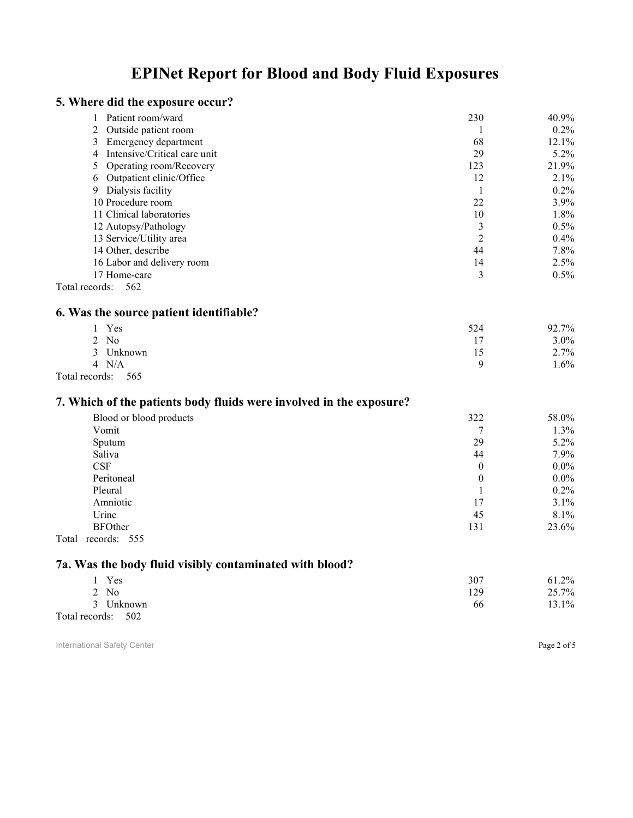#### **5. Where did the exposure occur?**

| 1 Patient room/ward            | 230 | 40.9%   |
|--------------------------------|-----|---------|
| 2 Outside patient room         |     | $0.2\%$ |
| 3 Emergency department         | 68  | 12.1%   |
| 4 Intensive/Critical care unit | 29  | 5.2%    |
| 5 Operating room/Recovery      | 123 | 21.9%   |
| 6 Outpatient clinic/Office     | 12  | 2.1%    |
| 9 Dialysis facility            |     | $0.2\%$ |
| 10 Procedure room              | 22  | 3.9%    |
| 11 Clinical laboratories       | 10  | 1.8%    |
| 12 Autopsy/Pathology           |     | 0.5%    |
| 13 Service/Utility area        | C   | 0.4%    |
| 14 Other, describe             | 44  | 7.8%    |
| 16 Labor and delivery room     | 14  | 2.5%    |
| 17 Home-care                   | 3   | 0.5%    |
| Total records: 562             |     |         |

#### **6. Was the source patient identifiable?**

|   | Yes                       | 524 | 92.7% |
|---|---------------------------|-----|-------|
|   | No<br>◠<br>$\overline{ }$ |     | 3.0%  |
|   | Unknown                   | -   | 2.7%  |
|   | N/A<br>$\overline{4}$     |     | .6%   |
| . | $\sim$ $\sim$ $\sim$      |     |       |

#### Total records: 565

#### **7. Which of the patients body fluids were involved in the exposure?**

| Blood or blood products | 322      | 58.0%   |
|-------------------------|----------|---------|
| Vomit                   |          | 1.3%    |
| Sputum                  | 29       | $5.2\%$ |
| Saliva                  | 44       | $7.9\%$ |
| <b>CSF</b>              | $\theta$ | $0.0\%$ |
| Peritoneal              | $\theta$ | $0.0\%$ |
| Pleural                 |          | $0.2\%$ |
| Amniotic                | 17       | $3.1\%$ |
| Urine                   | 45       | 8.1%    |
| <b>BFOther</b>          | 131      | 23.6%   |
| Total<br>records: 555   |          |         |

### **7a. Was the body fluid visibly contaminated with blood?**

| Yes                | 307 | 61.2% |
|--------------------|-----|-------|
| $2$ No             | 129 | 25.7% |
| 3 Unknown          | 66  | 13.1% |
| Total records: 502 |     |       |

International Safety Center **Page 2 of 5** and  $\overline{P}$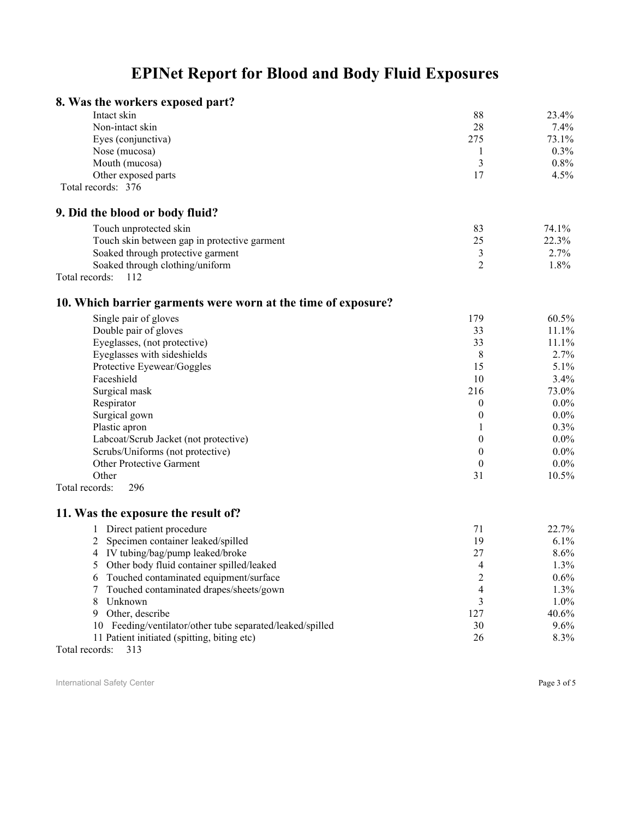### **8. Was the workers exposed part?**

| Intact skin         | 88  | 23.4%   |
|---------------------|-----|---------|
| Non-intact skin     | 28  | 7.4%    |
| Eyes (conjunctiva)  | 275 | 73.1%   |
| Nose (mucosa)       |     | $0.3\%$ |
| Mouth (mucosa)      |     | $0.8\%$ |
| Other exposed parts |     | 4.5%    |
| Total records: 376  |     |         |

**9. Did the blood or body fluid?**

| Touch unprotected skin                       | 74.1%   |
|----------------------------------------------|---------|
| Touch skin between gap in protective garment | 22.3%   |
| Soaked through protective garment            | $2.7\%$ |
| Soaked through clothing/uniform              | $1.8\%$ |
| Total records:                               |         |

### **10. Which barrier garments were worn at the time of exposure?**

| Single pair of gloves                 | 179      | 60.5%    |
|---------------------------------------|----------|----------|
| Double pair of gloves                 | 33       | 11.1%    |
| Eyeglasses, (not protective)          | 33       | 11.1%    |
| Eyeglasses with sideshields           | 8        | 2.7%     |
| Protective Eyewear/Goggles            | 15       | 5.1%     |
| Faceshield                            | 10       | 3.4%     |
| Surgical mask                         | 216      | 73.0%    |
| Respirator                            | 0        | $0.0\%$  |
| Surgical gown                         | $\theta$ | $0.0\%$  |
| Plastic apron                         |          | $0.3\%$  |
| Labcoat/Scrub Jacket (not protective) | 0        | $0.0\%$  |
| Scrubs/Uniforms (not protective)      | 0        | $0.0\%$  |
| <b>Other Protective Garment</b>       | $\theta$ | $0.0\%$  |
| Other                                 | 31       | $10.5\%$ |
| 296<br>Total records:                 |          |          |

### **11. Was the exposure the result of?**

| Direct patient procedure                                  |     | 22.7%    |
|-----------------------------------------------------------|-----|----------|
| 2 Specimen container leaked/spilled                       | 19  | $6.1\%$  |
| 4 IV tubing/bag/pump leaked/broke                         | 27  | $8.6\%$  |
| 5 Other body fluid container spilled/leaked               | 4   | $1.3\%$  |
| 6 Touched contaminated equipment/surface                  | 2   | $0.6\%$  |
| 7 Touched contaminated drapes/sheets/gown                 | 4   | $1.3\%$  |
| Unknown                                                   |     | $1.0\%$  |
| Other, describe<br>9.                                     | 127 | $40.6\%$ |
| 10 Feeding/ventilator/other tube separated/leaked/spilled | 30  | $9.6\%$  |
| 11 Patient initiated (spitting, biting etc)               | 26  | 8.3%     |
|                                                           |     |          |

Total records: 313

International Safety Center **Page 3 of 5** and the United States of  $P$  and  $P$  and  $P$  and  $P$  and  $P$  and  $P$  and  $P$  and  $P$  and  $P$  and  $P$  and  $P$  and  $P$  and  $P$  and  $P$  and  $P$  and  $P$  and  $P$  and  $P$  and  $P$  and  $P$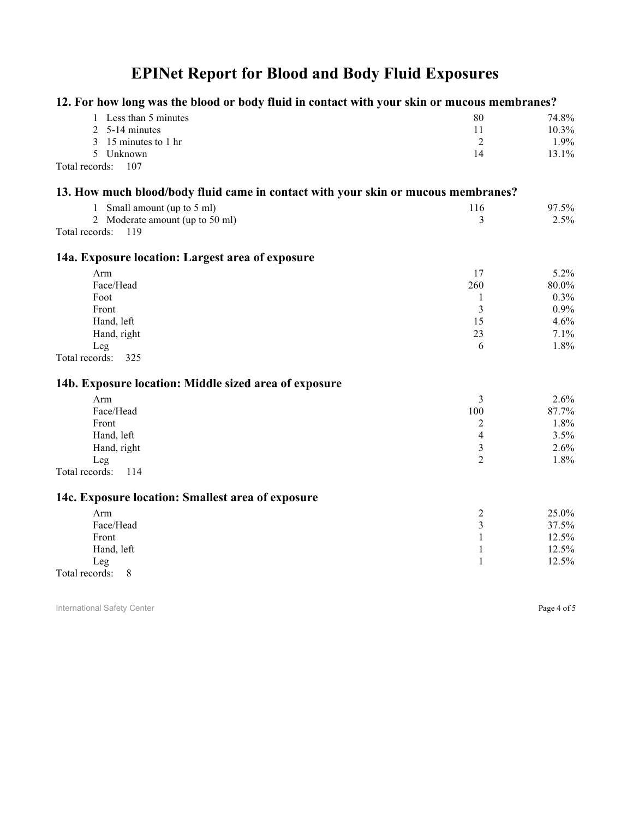| 12. For how long was the blood or body fluid in contact with your skin or mucous membranes? |                |       |
|---------------------------------------------------------------------------------------------|----------------|-------|
| 1 Less than 5 minutes                                                                       | 80             | 74.8% |
| $\overline{2}$<br>5-14 minutes                                                              | 11             | 10.3% |
| 15 minutes to 1 hr<br>3                                                                     | $\overline{2}$ | 1.9%  |
| 5 Unknown                                                                                   | 14             | 13.1% |
| Total records:<br>107                                                                       |                |       |
| 13. How much blood/body fluid came in contact with your skin or mucous membranes?           |                |       |
| 1 Small amount (up to 5 ml)                                                                 | 116            | 97.5% |
| 2 Moderate amount (up to 50 ml)                                                             | 3              | 2.5%  |
| Total records:<br>119                                                                       |                |       |
| 14a. Exposure location: Largest area of exposure                                            |                |       |
| Arm                                                                                         | 17             | 5.2%  |
| Face/Head                                                                                   | 260            | 80.0% |
| Foot                                                                                        | $\mathbf{1}$   | 0.3%  |
| Front                                                                                       | 3              | 0.9%  |
| Hand, left                                                                                  | 15             | 4.6%  |
| Hand, right                                                                                 | 23             | 7.1%  |
| Leg                                                                                         | 6              | 1.8%  |
| Total records:<br>325                                                                       |                |       |
| 14b. Exposure location: Middle sized area of exposure                                       |                |       |
| Arm                                                                                         | 3              | 2.6%  |
| Face/Head                                                                                   | 100            | 87.7% |
| Front                                                                                       | 2              | 1.8%  |
| Hand, left                                                                                  | $\overline{4}$ | 3.5%  |
| Hand, right                                                                                 | $\mathfrak{Z}$ | 2.6%  |
| Leg                                                                                         | $\overline{2}$ | 1.8%  |
| Total records:<br>114                                                                       |                |       |
| 14c. Exposure location: Smallest area of exposure                                           |                |       |
| Arm                                                                                         | $\overline{c}$ | 25.0% |
| Face/Head                                                                                   | 3              | 37.5% |
| Front                                                                                       | 1              | 12.5% |
| Hand, left                                                                                  | $\mathbf{1}$   | 12.5% |
| Leg                                                                                         | 1              | 12.5% |
| Total records:<br>8                                                                         |                |       |

International Safety Center **Page 4 of 5** Page 4 of 5